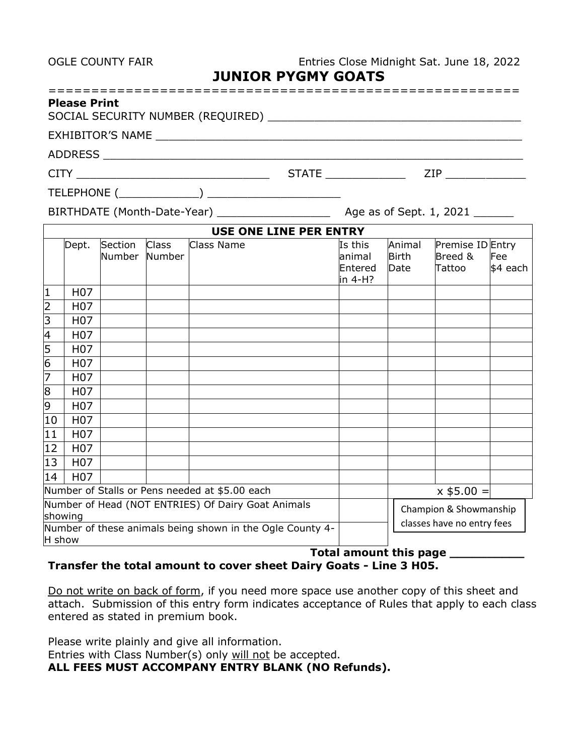OGLE COUNTY FAIR **Entries Close Midnight Sat. June 18, 2022** 

**JUNIOR PYGMY GOATS**

| <b>Please Print</b>                                                            |                         |
|--------------------------------------------------------------------------------|-------------------------|
|                                                                                |                         |
|                                                                                |                         |
| $CITY$ and $CITY$ are all the set of $CITY$ and $CYZ$ are all the set of $CYZ$ | <b>STATE</b><br>ZIP     |
|                                                                                |                         |
| BIRTHDATE (Month-Date-Year)                                                    | Age as of Sept. 1, 2021 |
| LIGE ANE LINE BEB FNFBV                                                        |                         |

|                |                  |         |              | USE ONE LINE PEK EN I KY                                  |         |              |                            |          |  |  |  |
|----------------|------------------|---------|--------------|-----------------------------------------------------------|---------|--------------|----------------------------|----------|--|--|--|
|                | Dept.            | Section | <b>Class</b> | Class Name                                                | Is this | Animal       | Premise ID Entry           |          |  |  |  |
|                |                  | Number  | Number       |                                                           | animal  | <b>Birth</b> | Breed &                    | Fee      |  |  |  |
|                |                  |         |              |                                                           | Entered | Date         | Tattoo                     | \$4 each |  |  |  |
|                |                  |         |              |                                                           | in 4-H? |              |                            |          |  |  |  |
| 1              | H <sub>0</sub> 7 |         |              |                                                           |         |              |                            |          |  |  |  |
| $\overline{2}$ | H <sub>0</sub> 7 |         |              |                                                           |         |              |                            |          |  |  |  |
| $\overline{3}$ | H <sub>0</sub> 7 |         |              |                                                           |         |              |                            |          |  |  |  |
| 4              | H <sub>0</sub> 7 |         |              |                                                           |         |              |                            |          |  |  |  |
| 5              | H <sub>0</sub> 7 |         |              |                                                           |         |              |                            |          |  |  |  |
| $\overline{6}$ | H <sub>0</sub> 7 |         |              |                                                           |         |              |                            |          |  |  |  |
| 7              | H <sub>0</sub> 7 |         |              |                                                           |         |              |                            |          |  |  |  |
| $\overline{8}$ | H <sub>0</sub> 7 |         |              |                                                           |         |              |                            |          |  |  |  |
| 9              | H <sub>0</sub> 7 |         |              |                                                           |         |              |                            |          |  |  |  |
| 10             | H <sub>0</sub> 7 |         |              |                                                           |         |              |                            |          |  |  |  |
| 11             | H <sub>0</sub> 7 |         |              |                                                           |         |              |                            |          |  |  |  |
| 12             | H <sub>0</sub> 7 |         |              |                                                           |         |              |                            |          |  |  |  |
| 13             | H <sub>0</sub> 7 |         |              |                                                           |         |              |                            |          |  |  |  |
| 14             | H <sub>0</sub> 7 |         |              |                                                           |         |              |                            |          |  |  |  |
|                |                  |         |              | Number of Stalls or Pens needed at \$5.00 each            |         |              | $x$ \$5.00 =               |          |  |  |  |
|                |                  |         |              | Number of Head (NOT ENTRIES) Of Dairy Goat Animals        |         |              | Champion & Showmanship     |          |  |  |  |
| showing        |                  |         |              |                                                           |         |              | classes have no entry fees |          |  |  |  |
|                |                  |         |              | Number of these animals being shown in the Ogle County 4- |         |              |                            |          |  |  |  |
| H show         |                  |         |              |                                                           |         |              |                            |          |  |  |  |

## **Total amount this page \_\_\_\_\_\_\_\_\_\_ Transfer the total amount to cover sheet Dairy Goats - Line 3 H05.**

Do not write on back of form, if you need more space use another copy of this sheet and attach. Submission of this entry form indicates acceptance of Rules that apply to each class entered as stated in premium book.

Please write plainly and give all information.

Entries with Class Number(s) only will not be accepted.

**ALL FEES MUST ACCOMPANY ENTRY BLANK (NO Refunds).**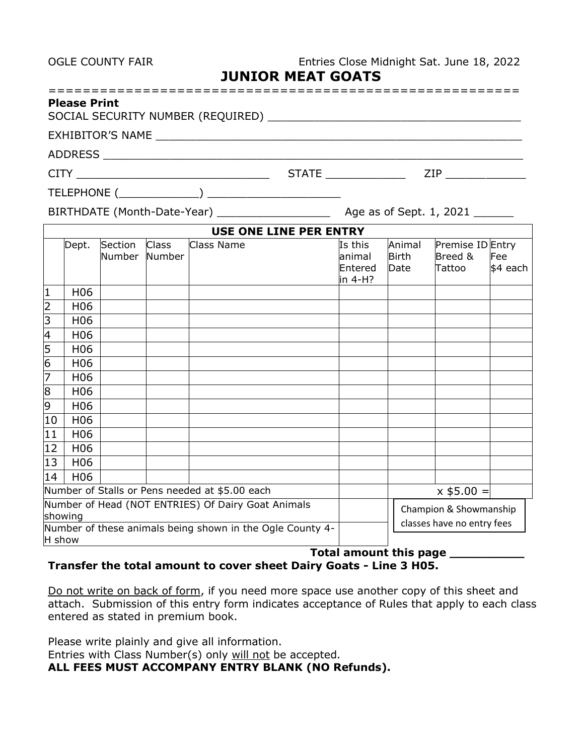OGLE COUNTY FAIR Entries Close Midnight Sat. June 18, 2022

| <b>JUNIOR MEAT GOATS</b> |  |
|--------------------------|--|
|--------------------------|--|

| <b>Please</b> |  |  |  |  |  |  |  |  |  |  |  |  |  |  |  |  |  |  |
|---------------|--|--|--|--|--|--|--|--|--|--|--|--|--|--|--|--|--|--|

| SOCIAL SECURITY NUMBER (REQUIRED) |  |
|-----------------------------------|--|
|-----------------------------------|--|

EXHIBITOR'S NAME \_\_\_\_\_\_\_\_\_\_\_\_\_\_\_\_\_\_\_\_\_\_\_\_\_\_\_\_\_\_\_\_\_\_\_\_\_\_\_\_\_\_\_\_\_\_\_\_\_\_\_\_\_\_\_

ADDRESS \_\_\_\_\_\_\_\_\_\_\_\_\_\_\_\_\_\_\_\_\_\_\_\_\_\_\_\_\_\_\_\_\_\_\_\_\_\_\_\_\_\_\_\_\_\_\_\_\_\_\_\_\_\_\_\_\_\_\_\_\_\_\_

CITY \_\_\_\_\_\_\_\_\_\_\_\_\_\_\_\_\_\_\_\_\_\_\_\_\_\_\_\_\_ STATE \_\_\_\_\_\_\_\_\_\_\_\_ ZIP \_\_\_\_\_\_\_\_\_\_\_\_

TELEPHONE (\_\_\_\_\_\_\_\_\_\_\_\_) \_\_\_\_\_\_\_\_\_\_\_\_\_\_\_\_\_\_\_\_

BIRTHDATE (Month-Date-Year) \_\_\_\_\_\_\_\_\_\_\_\_\_\_\_\_\_ Age as of Sept. 1, 2021 \_\_\_\_\_\_

|                |                 |                                                           |                        | USE ONE LINE PER ENTRY                             |                            |                        |                             |          |
|----------------|-----------------|-----------------------------------------------------------|------------------------|----------------------------------------------------|----------------------------|------------------------|-----------------------------|----------|
|                | Dept.           | Section<br>Number                                         | <b>Class</b><br>Number | <b>Class Name</b>                                  | Is this<br>animal          | Animal<br><b>Birth</b> | Premise ID Entry<br>Breed & | Fee      |
|                |                 |                                                           |                        |                                                    | Entered<br>in 4-H?         | Date                   | Tattoo                      | \$4 each |
| $\overline{1}$ | H <sub>06</sub> |                                                           |                        |                                                    |                            |                        |                             |          |
| $\overline{2}$ | H <sub>06</sub> |                                                           |                        |                                                    |                            |                        |                             |          |
| 3              | H <sub>06</sub> |                                                           |                        |                                                    |                            |                        |                             |          |
| $\overline{4}$ | H <sub>06</sub> |                                                           |                        |                                                    |                            |                        |                             |          |
| $\overline{5}$ | H <sub>06</sub> |                                                           |                        |                                                    |                            |                        |                             |          |
| $\overline{6}$ | H <sub>06</sub> |                                                           |                        |                                                    |                            |                        |                             |          |
| 7              | H <sub>06</sub> |                                                           |                        |                                                    |                            |                        |                             |          |
| $\overline{8}$ | H <sub>06</sub> |                                                           |                        |                                                    |                            |                        |                             |          |
| 9              | H <sub>06</sub> |                                                           |                        |                                                    |                            |                        |                             |          |
| 10             | H <sub>06</sub> |                                                           |                        |                                                    |                            |                        |                             |          |
| 11             | H <sub>06</sub> |                                                           |                        |                                                    |                            |                        |                             |          |
| 12             | H <sub>06</sub> |                                                           |                        |                                                    |                            |                        |                             |          |
| 13             | H <sub>06</sub> |                                                           |                        |                                                    |                            |                        |                             |          |
| 14             | H <sub>06</sub> |                                                           |                        |                                                    |                            |                        |                             |          |
|                |                 |                                                           |                        | Number of Stalls or Pens needed at \$5.00 each     |                            |                        | $x$ \$5.00 =                |          |
|                | showing         |                                                           |                        | Number of Head (NOT ENTRIES) Of Dairy Goat Animals |                            |                        | Champion & Showmanship      |          |
| H show         |                 | Number of these animals being shown in the Ogle County 4- |                        |                                                    | classes have no entry fees |                        |                             |          |

## **Total amount this page \_\_\_\_\_\_\_\_\_\_ Transfer the total amount to cover sheet Dairy Goats - Line 3 H05.**

Do not write on back of form, if you need more space use another copy of this sheet and attach. Submission of this entry form indicates acceptance of Rules that apply to each class entered as stated in premium book.

Please write plainly and give all information.

Entries with Class Number(s) only will not be accepted.

**ALL FEES MUST ACCOMPANY ENTRY BLANK (NO Refunds).**